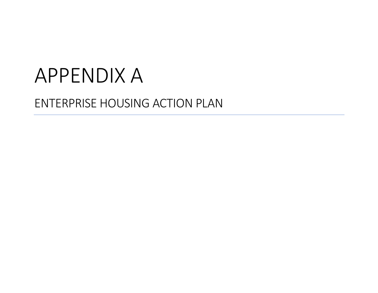# APPENDIX A

# ENTERPRISE HOUSING ACTION PLAN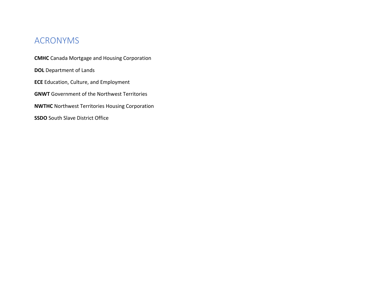# ACRONYMS

**CMHC** Canada Mortgage and Housing Corporation **DOL** Department of Lands **ECE** Education, Culture, and Employment **GNWT** Government of the Northwest Territories **NWTHC** Northwest Territories Housing Corporation **SSDO** South Slave District Office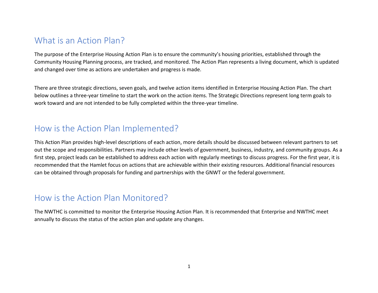#### What is an Action Plan?

The purpose of the Enterprise Housing Action Plan is to ensure the community's housing priorities, established through the Community Housing Planning process, are tracked, and monitored. The Action Plan represents a living document, which is updated and changed over time as actions are undertaken and progress is made.

There are three strategic directions, seven goals, and twelve action items identified in Enterprise Housing Action Plan. The chart below outlines a three-year timeline to start the work on the action items. The Strategic Directions represent long term goals to work toward and are not intended to be fully completed within the three-year timeline.

# How is the Action Plan Implemented?

This Action Plan provides high-level descriptions of each action, more details should be discussed between relevant partners to set out the scope and responsibilities. Partners may include other levels of government, business, industry, and community groups. As a first step, project leads can be established to address each action with regularly meetings to discuss progress. For the first year, it is recommended that the Hamlet focus on actions that are achievable within their existing resources. Additional financial resources can be obtained through proposals for funding and partnerships with the GNWT or the federal government.

# How is the Action Plan Monitored?

The NWTHC is committed to monitor the Enterprise Housing Action Plan. It is recommended that Enterprise and NWTHC meet annually to discuss the status of the action plan and update any changes.